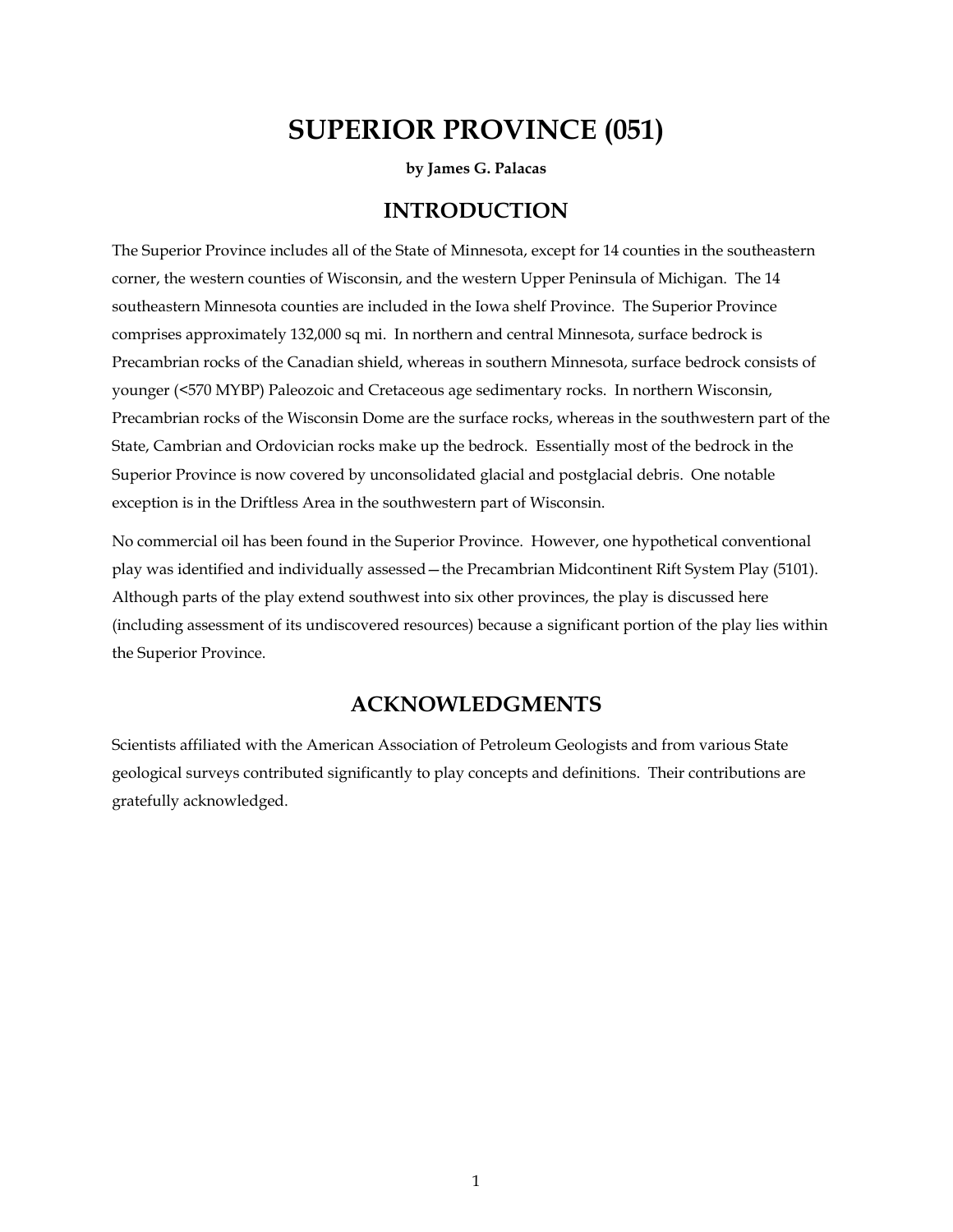# **SUPERIOR PROVINCE (051)**

**by James G. Palacas** 

### **INTRODUCTION**

The Superior Province includes all of the State of Minnesota, except for 14 counties in the southeastern corner, the western counties of Wisconsin, and the western Upper Peninsula of Michigan. The 14 southeastern Minnesota counties are included in the Iowa shelf Province. The Superior Province comprises approximately 132,000 sq mi. In northern and central Minnesota, surface bedrock is Precambrian rocks of the Canadian shield, whereas in southern Minnesota, surface bedrock consists of younger (<570 MYBP) Paleozoic and Cretaceous age sedimentary rocks. In northern Wisconsin, Precambrian rocks of the Wisconsin Dome are the surface rocks, whereas in the southwestern part of the State, Cambrian and Ordovician rocks make up the bedrock. Essentially most of the bedrock in the Superior Province is now covered by unconsolidated glacial and postglacial debris. One notable exception is in the Driftless Area in the southwestern part of Wisconsin.

No commercial oil has been found in the Superior Province. However, one hypothetical conventional play was identified and individually assessed—the Precambrian Midcontinent Rift System Play (5101). Although parts of the play extend southwest into six other provinces, the play is discussed here (including assessment of its undiscovered resources) because a significant portion of the play lies within the Superior Province.

## **ACKNOWLEDGMENTS**

Scientists affiliated with the American Association of Petroleum Geologists and from various State geological surveys contributed significantly to play concepts and definitions. Their contributions are gratefully acknowledged.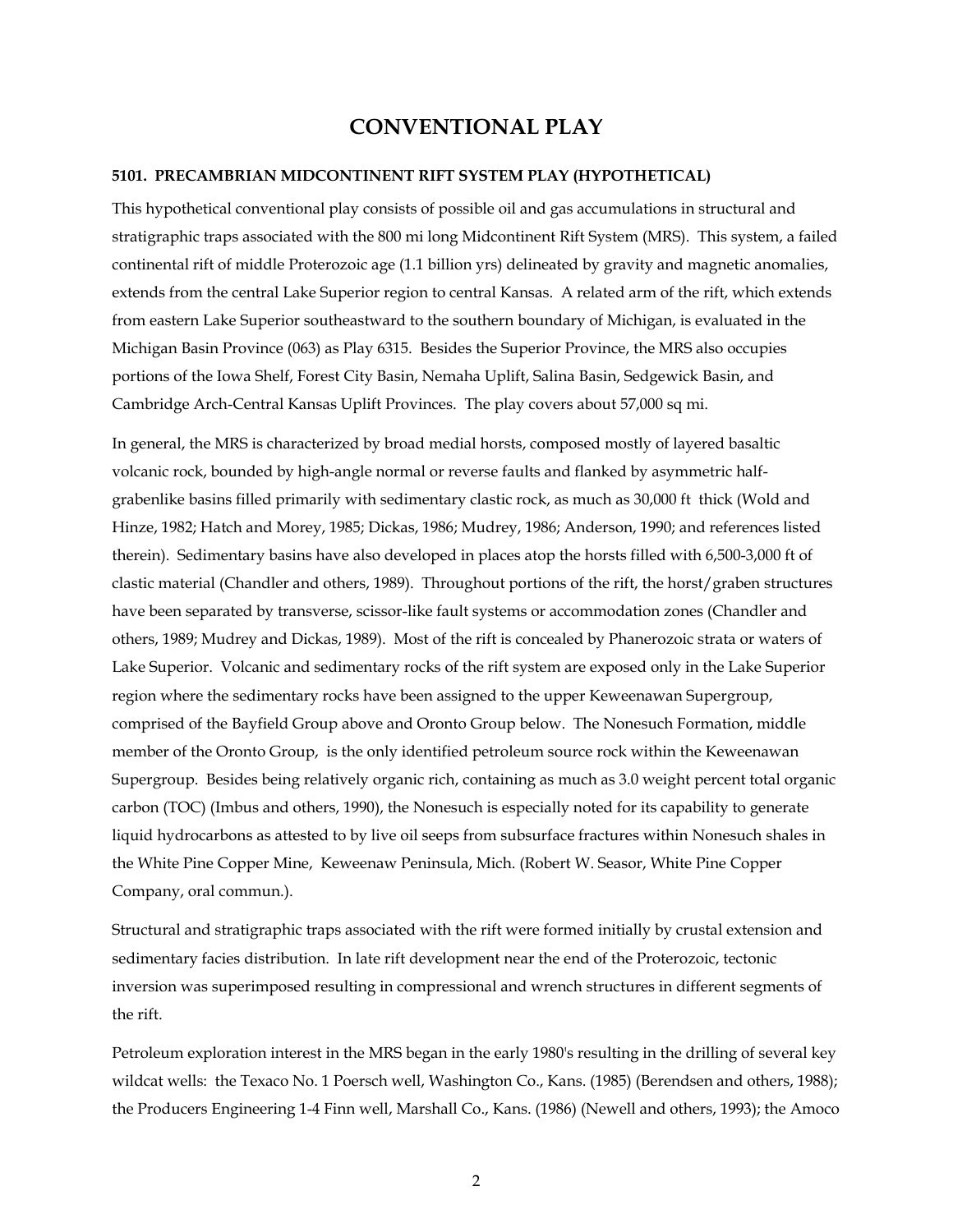# **CONVENTIONAL PLAY**

#### **5101. PRECAMBRIAN MIDCONTINENT RIFT SYSTEM PLAY (HYPOTHETICAL)**

This hypothetical conventional play consists of possible oil and gas accumulations in structural and stratigraphic traps associated with the 800 mi long Midcontinent Rift System (MRS). This system, a failed continental rift of middle Proterozoic age (1.1 billion yrs) delineated by gravity and magnetic anomalies, extends from the central Lake Superior region to central Kansas. A related arm of the rift, which extends from eastern Lake Superior southeastward to the southern boundary of Michigan, is evaluated in the Michigan Basin Province (063) as Play 6315. Besides the Superior Province, the MRS also occupies portions of the Iowa Shelf, Forest City Basin, Nemaha Uplift, Salina Basin, Sedgewick Basin, and Cambridge Arch-Central Kansas Uplift Provinces. The play covers about 57,000 sq mi.

In general, the MRS is characterized by broad medial horsts, composed mostly of layered basaltic volcanic rock, bounded by high-angle normal or reverse faults and flanked by asymmetric halfgrabenlike basins filled primarily with sedimentary clastic rock, as much as 30,000 ft thick (Wold and Hinze, 1982; Hatch and Morey, 1985; Dickas, 1986; Mudrey, 1986; Anderson, 1990; and references listed therein). Sedimentary basins have also developed in places atop the horsts filled with 6,500-3,000 ft of clastic material (Chandler and others, 1989). Throughout portions of the rift, the horst/graben structures have been separated by transverse, scissor-like fault systems or accommodation zones (Chandler and others, 1989; Mudrey and Dickas, 1989). Most of the rift is concealed by Phanerozoic strata or waters of Lake Superior. Volcanic and sedimentary rocks of the rift system are exposed only in the Lake Superior region where the sedimentary rocks have been assigned to the upper Keweenawan Supergroup, comprised of the Bayfield Group above and Oronto Group below. The Nonesuch Formation, middle member of the Oronto Group, is the only identified petroleum source rock within the Keweenawan Supergroup. Besides being relatively organic rich, containing as much as 3.0 weight percent total organic carbon (TOC) (Imbus and others, 1990), the Nonesuch is especially noted for its capability to generate liquid hydrocarbons as attested to by live oil seeps from subsurface fractures within Nonesuch shales in the White Pine Copper Mine, Keweenaw Peninsula, Mich. (Robert W. Seasor, White Pine Copper Company, oral commun.).

Structural and stratigraphic traps associated with the rift were formed initially by crustal extension and sedimentary facies distribution. In late rift development near the end of the Proterozoic, tectonic inversion was superimposed resulting in compressional and wrench structures in different segments of the rift.

Petroleum exploration interest in the MRS began in the early 1980's resulting in the drilling of several key wildcat wells: the Texaco No. 1 Poersch well, Washington Co., Kans. (1985) (Berendsen and others, 1988); the Producers Engineering 1-4 Finn well, Marshall Co., Kans. (1986) (Newell and others, 1993); the Amoco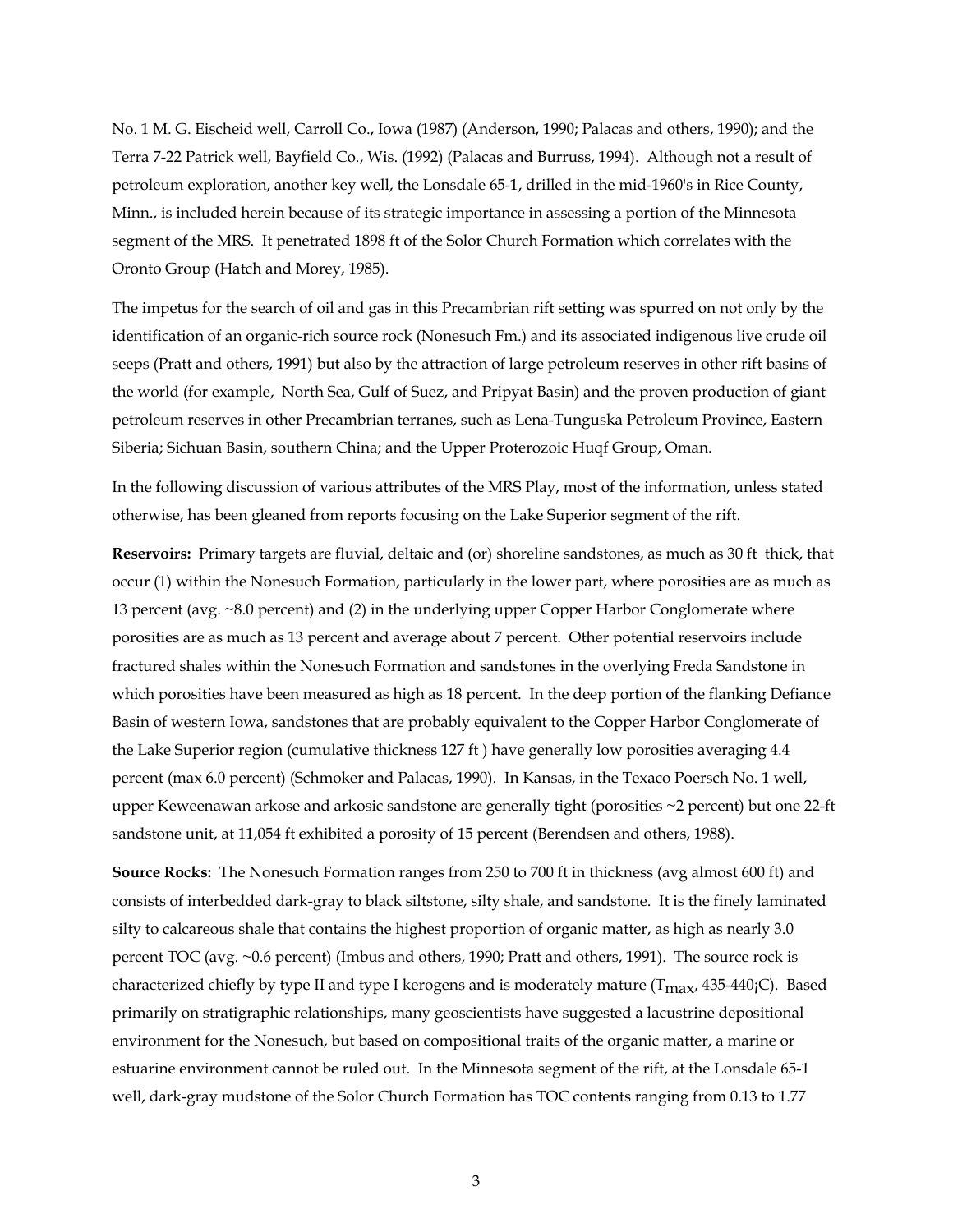No. 1 M. G. Eischeid well, Carroll Co., Iowa (1987) (Anderson, 1990; Palacas and others, 1990); and the Terra 7-22 Patrick well, Bayfield Co., Wis. (1992) (Palacas and Burruss, 1994). Although not a result of petroleum exploration, another key well, the Lonsdale 65-1, drilled in the mid-1960's in Rice County, Minn., is included herein because of its strategic importance in assessing a portion of the Minnesota segment of the MRS. It penetrated 1898 ft of the Solor Church Formation which correlates with the Oronto Group (Hatch and Morey, 1985).

The impetus for the search of oil and gas in this Precambrian rift setting was spurred on not only by the identification of an organic-rich source rock (Nonesuch Fm.) and its associated indigenous live crude oil seeps (Pratt and others, 1991) but also by the attraction of large petroleum reserves in other rift basins of the world (for example, North Sea, Gulf of Suez, and Pripyat Basin) and the proven production of giant petroleum reserves in other Precambrian terranes, such as Lena-Tunguska Petroleum Province, Eastern Siberia; Sichuan Basin, southern China; and the Upper Proterozoic Huqf Group, Oman.

In the following discussion of various attributes of the MRS Play, most of the information, unless stated otherwise, has been gleaned from reports focusing on the Lake Superior segment of the rift.

**Reservoirs:** Primary targets are fluvial, deltaic and (or) shoreline sandstones, as much as 30 ft thick, that occur (1) within the Nonesuch Formation, particularly in the lower part, where porosities are as much as 13 percent (avg. ~8.0 percent) and (2) in the underlying upper Copper Harbor Conglomerate where porosities are as much as 13 percent and average about 7 percent. Other potential reservoirs include fractured shales within the Nonesuch Formation and sandstones in the overlying Freda Sandstone in which porosities have been measured as high as 18 percent. In the deep portion of the flanking Defiance Basin of western Iowa, sandstones that are probably equivalent to the Copper Harbor Conglomerate of the Lake Superior region (cumulative thickness 127 ft ) have generally low porosities averaging 4.4 percent (max 6.0 percent) (Schmoker and Palacas, 1990). In Kansas, in the Texaco Poersch No. 1 well, upper Keweenawan arkose and arkosic sandstone are generally tight (porosities ~2 percent) but one 22-ft sandstone unit, at 11,054 ft exhibited a porosity of 15 percent (Berendsen and others, 1988).

**Source Rocks:** The Nonesuch Formation ranges from 250 to 700 ft in thickness (avg almost 600 ft) and consists of interbedded dark-gray to black siltstone, silty shale, and sandstone. It is the finely laminated silty to calcareous shale that contains the highest proportion of organic matter, as high as nearly 3.0 percent TOC (avg. ~0.6 percent) (Imbus and others, 1990; Pratt and others, 1991). The source rock is characterized chiefly by type II and type I kerogens and is moderately mature ( $T_{\text{max}}$ , 435-440<sub>i</sub>C). Based primarily on stratigraphic relationships, many geoscientists have suggested a lacustrine depositional environment for the Nonesuch, but based on compositional traits of the organic matter, a marine or estuarine environment cannot be ruled out. In the Minnesota segment of the rift, at the Lonsdale 65-1 well, dark-gray mudstone of the Solor Church Formation has TOC contents ranging from 0.13 to 1.77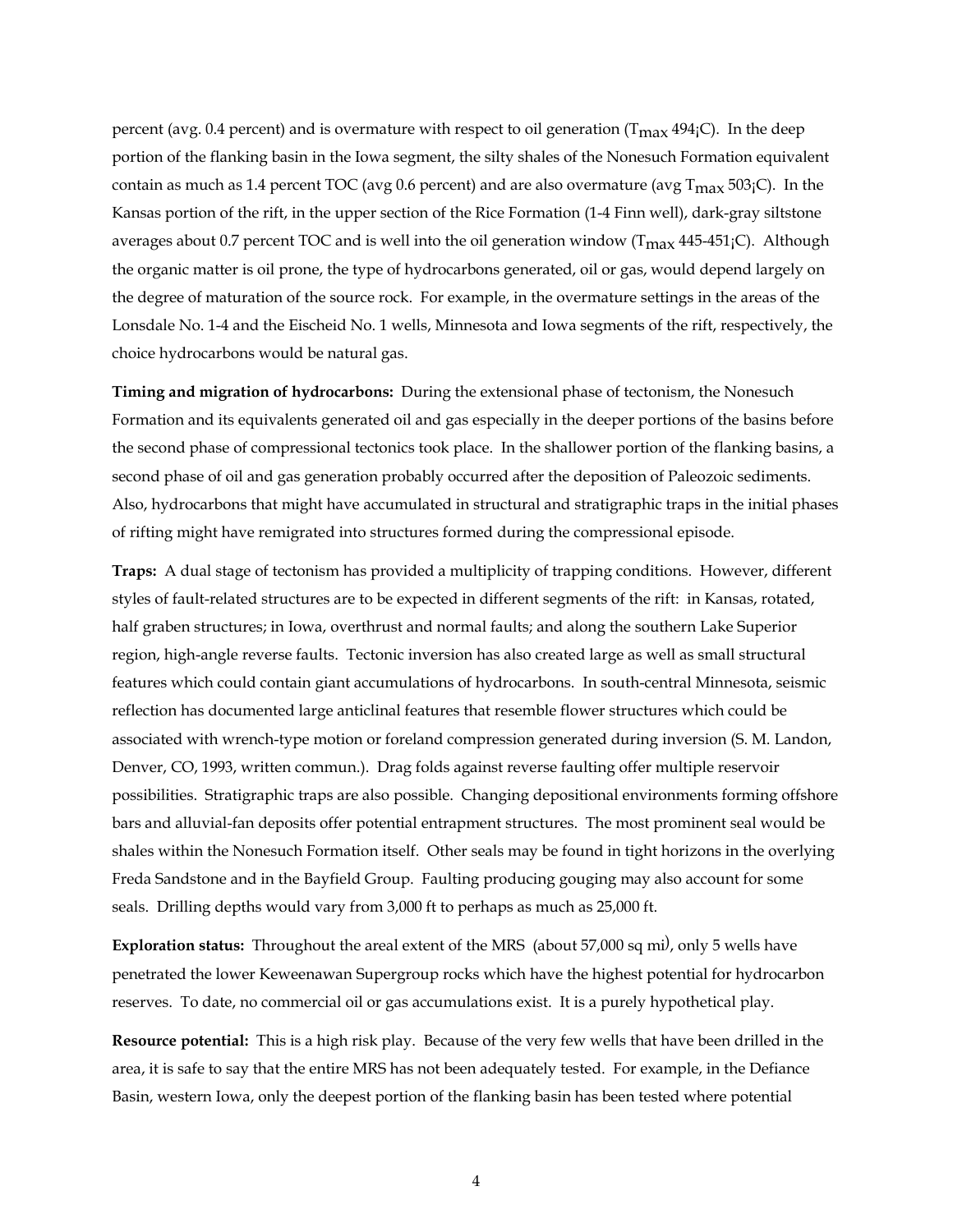percent (avg. 0.4 percent) and is overmature with respect to oil generation ( $T_{\text{max}}$  494<sub>i</sub>C). In the deep portion of the flanking basin in the Iowa segment, the silty shales of the Nonesuch Formation equivalent contain as much as 1.4 percent TOC (avg 0.6 percent) and are also overmature (avg  $T_{\text{max}}$  503<sub>i</sub>C). In the Kansas portion of the rift, in the upper section of the Rice Formation (1-4 Finn well), dark-gray siltstone averages about 0.7 percent TOC and is well into the oil generation window ( $T_{\text{max}}$  445-451<sub>j</sub>C). Although the organic matter is oil prone, the type of hydrocarbons generated, oil or gas, would depend largely on the degree of maturation of the source rock. For example, in the overmature settings in the areas of the Lonsdale No. 1-4 and the Eischeid No. 1 wells, Minnesota and Iowa segments of the rift, respectively, the choice hydrocarbons would be natural gas.

**Timing and migration of hydrocarbons:** During the extensional phase of tectonism, the Nonesuch Formation and its equivalents generated oil and gas especially in the deeper portions of the basins before the second phase of compressional tectonics took place. In the shallower portion of the flanking basins, a second phase of oil and gas generation probably occurred after the deposition of Paleozoic sediments. Also, hydrocarbons that might have accumulated in structural and stratigraphic traps in the initial phases of rifting might have remigrated into structures formed during the compressional episode.

**Traps:** A dual stage of tectonism has provided a multiplicity of trapping conditions. However, different styles of fault-related structures are to be expected in different segments of the rift: in Kansas, rotated, half graben structures; in Iowa, overthrust and normal faults; and along the southern Lake Superior region, high-angle reverse faults. Tectonic inversion has also created large as well as small structural features which could contain giant accumulations of hydrocarbons. In south-central Minnesota, seismic reflection has documented large anticlinal features that resemble flower structures which could be associated with wrench-type motion or foreland compression generated during inversion (S. M. Landon, Denver, CO, 1993, written commun.). Drag folds against reverse faulting offer multiple reservoir possibilities. Stratigraphic traps are also possible. Changing depositional environments forming offshore bars and alluvial-fan deposits offer potential entrapment structures. The most prominent seal would be shales within the Nonesuch Formation itself. Other seals may be found in tight horizons in the overlying Freda Sandstone and in the Bayfield Group. Faulting producing gouging may also account for some seals. Drilling depths would vary from 3,000 ft to perhaps as much as 25,000 ft.

Exploration status: Throughout the areal extent of the MRS (about 57,000 sq mi<sup>)</sup>, only 5 wells have penetrated the lower Keweenawan Supergroup rocks which have the highest potential for hydrocarbon reserves. To date, no commercial oil or gas accumulations exist. It is a purely hypothetical play.

**Resource potential:** This is a high risk play. Because of the very few wells that have been drilled in the area, it is safe to say that the entire MRS has not been adequately tested. For example, in the Defiance Basin, western Iowa, only the deepest portion of the flanking basin has been tested where potential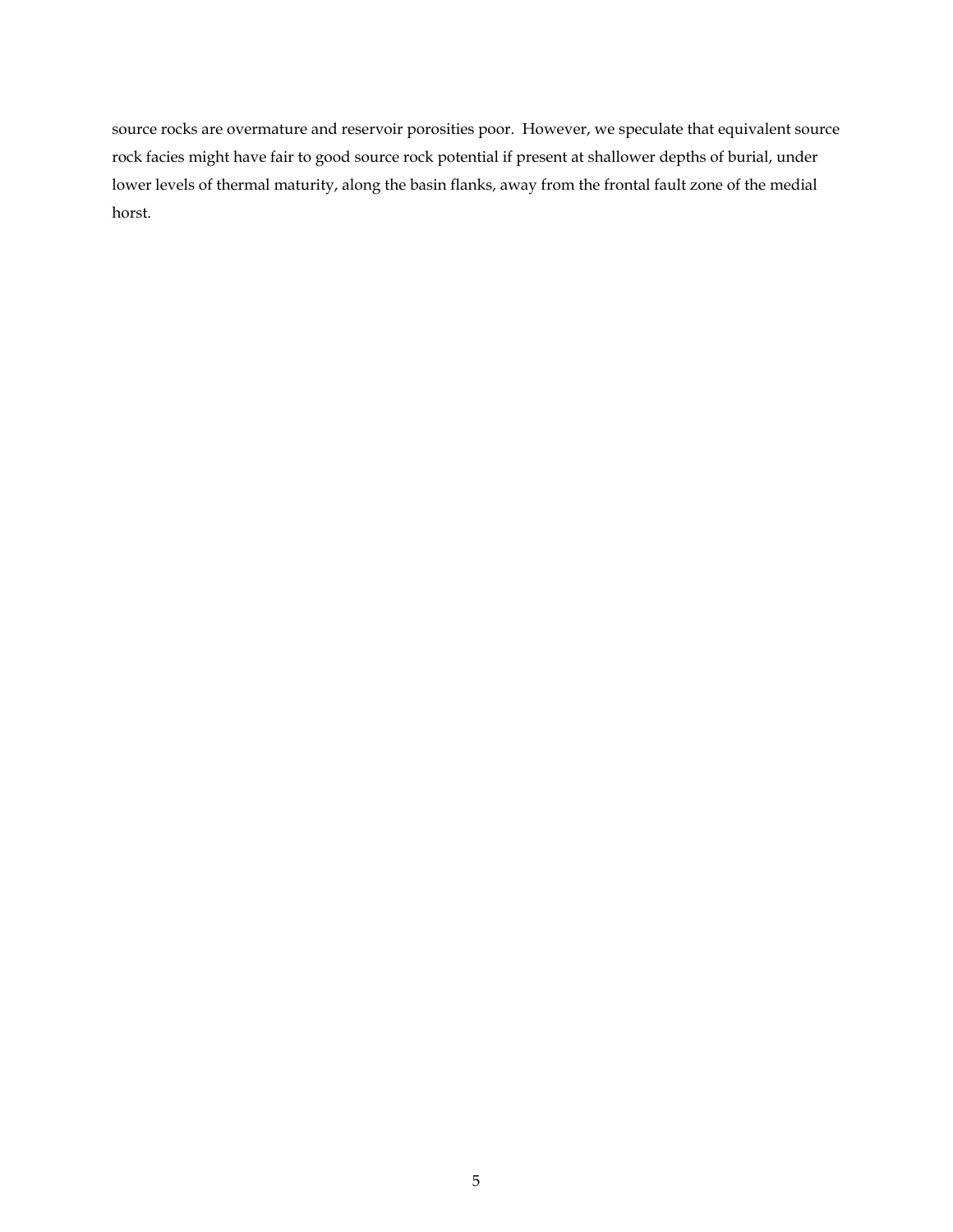source rocks are overmature and reservoir porosities poor. However, we speculate that equivalent source rock facies might have fair to good source rock potential if present at shallower depths of burial, under lower levels of thermal maturity, along the basin flanks, away from the frontal fault zone of the medial horst.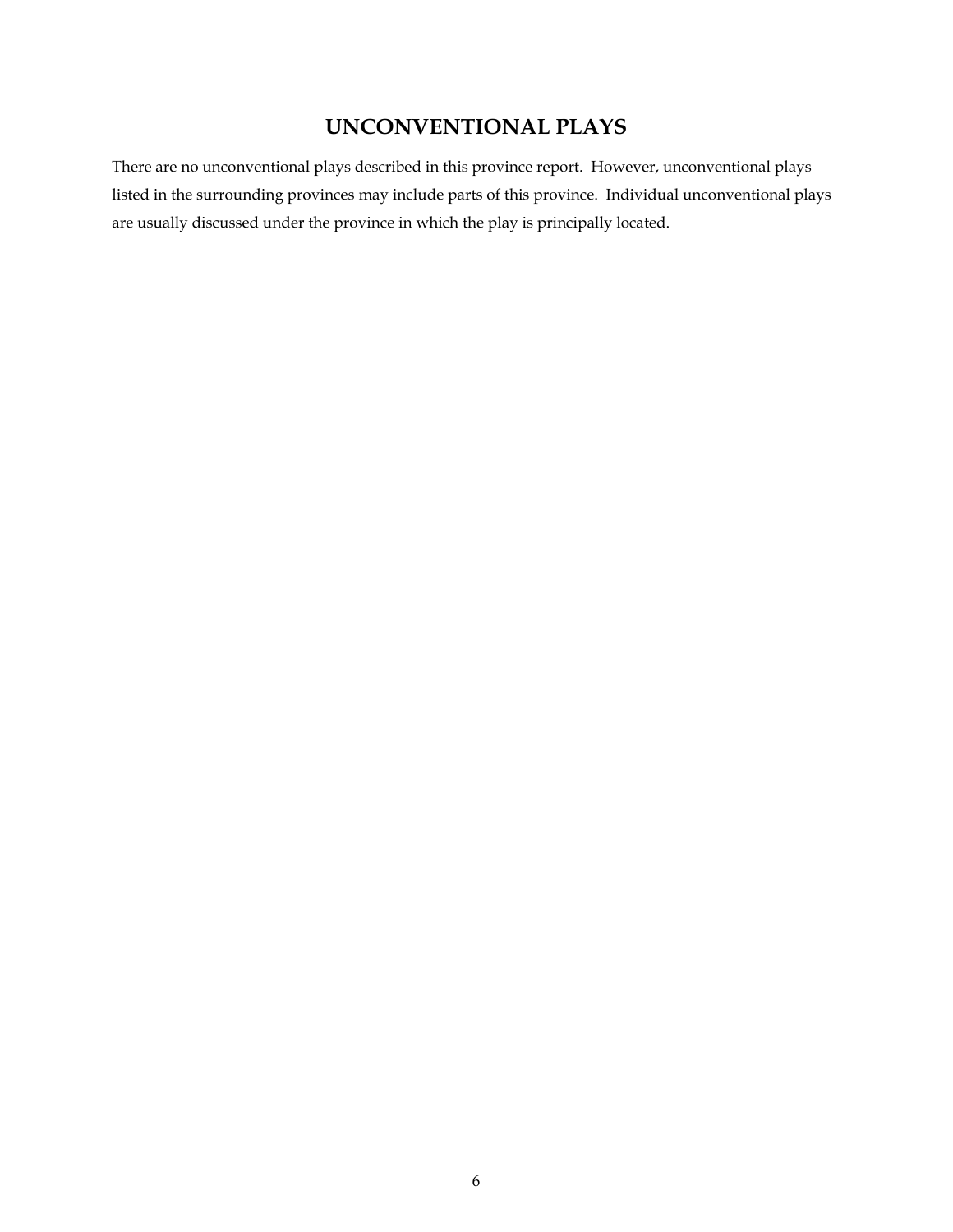# **UNCONVENTIONAL PLAYS**

There are no unconventional plays described in this province report. However, unconventional plays listed in the surrounding provinces may include parts of this province. Individual unconventional plays are usually discussed under the province in which the play is principally located.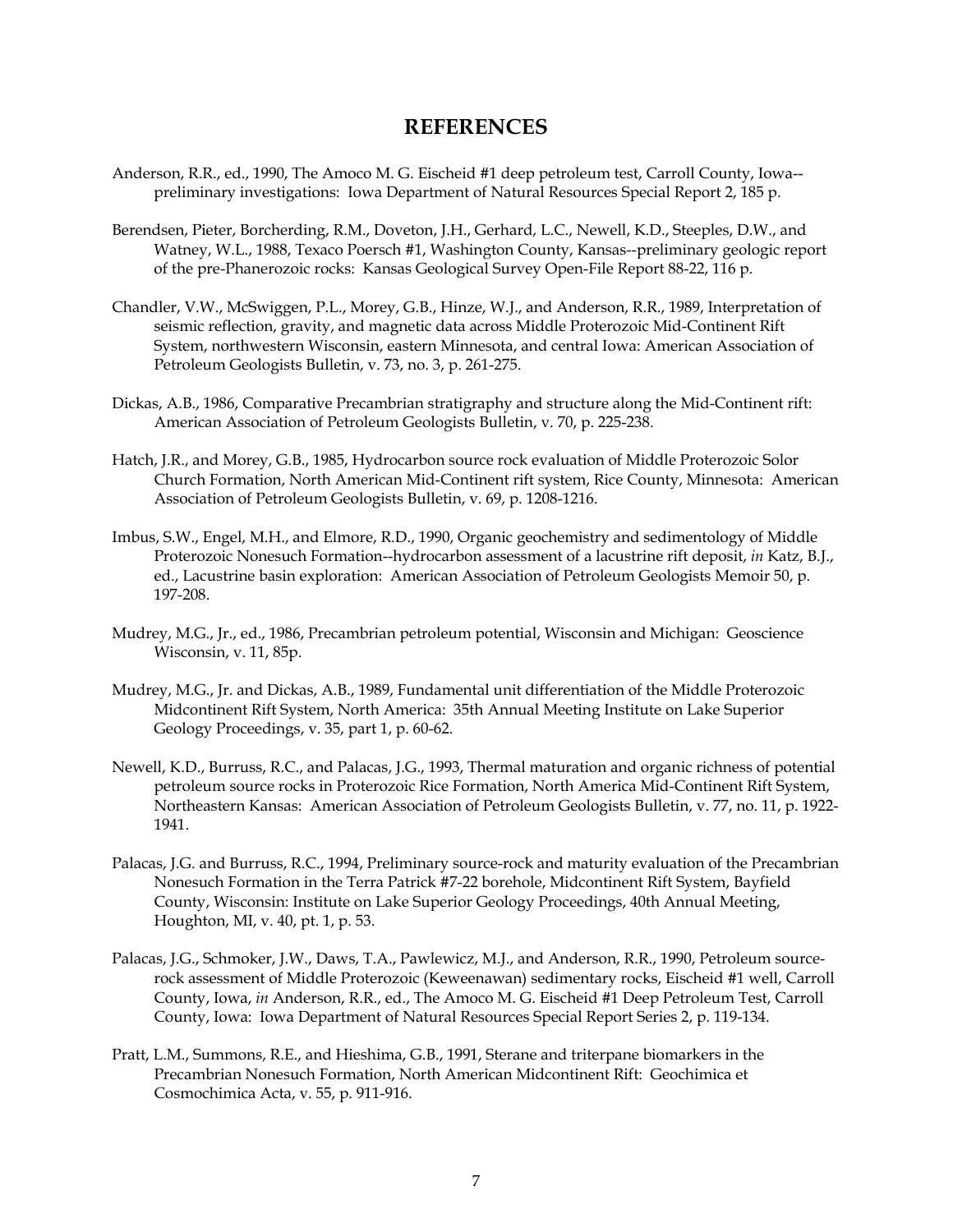### **REFERENCES**

- Anderson, R.R., ed., 1990, The Amoco M. G. Eischeid #1 deep petroleum test, Carroll County, Iowa- preliminary investigations: Iowa Department of Natural Resources Special Report 2, 185 p.
- Berendsen, Pieter, Borcherding, R.M., Doveton, J.H., Gerhard, L.C., Newell, K.D., Steeples, D.W., and Watney, W.L., 1988, Texaco Poersch #1, Washington County, Kansas--preliminary geologic report of the pre-Phanerozoic rocks: Kansas Geological Survey Open-File Report 88-22, 116 p.
- Chandler, V.W., McSwiggen, P.L., Morey, G.B., Hinze, W.J., and Anderson, R.R., 1989, Interpretation of seismic reflection, gravity, and magnetic data across Middle Proterozoic Mid-Continent Rift System, northwestern Wisconsin, eastern Minnesota, and central Iowa: American Association of Petroleum Geologists Bulletin, v. 73, no. 3, p. 261-275.
- Dickas, A.B., 1986, Comparative Precambrian stratigraphy and structure along the Mid-Continent rift: American Association of Petroleum Geologists Bulletin, v. 70, p. 225-238.
- Hatch, J.R., and Morey, G.B., 1985, Hydrocarbon source rock evaluation of Middle Proterozoic Solor Church Formation, North American Mid-Continent rift system, Rice County, Minnesota: American Association of Petroleum Geologists Bulletin, v. 69, p. 1208-1216.
- Imbus, S.W., Engel, M.H., and Elmore, R.D., 1990, Organic geochemistry and sedimentology of Middle Proterozoic Nonesuch Formation--hydrocarbon assessment of a lacustrine rift deposit, *in* Katz, B.J., ed., Lacustrine basin exploration: American Association of Petroleum Geologists Memoir 50, p. 197-208.
- Mudrey, M.G., Jr., ed., 1986, Precambrian petroleum potential, Wisconsin and Michigan: Geoscience Wisconsin, v. 11, 85p.
- Mudrey, M.G., Jr. and Dickas, A.B., 1989, Fundamental unit differentiation of the Middle Proterozoic Midcontinent Rift System, North America: 35th Annual Meeting Institute on Lake Superior Geology Proceedings, v. 35, part 1, p. 60-62.
- Newell, K.D., Burruss, R.C., and Palacas, J.G., 1993, Thermal maturation and organic richness of potential petroleum source rocks in Proterozoic Rice Formation, North America Mid-Continent Rift System, Northeastern Kansas: American Association of Petroleum Geologists Bulletin, v. 77, no. 11, p. 1922- 1941.
- Palacas, J.G. and Burruss, R.C., 1994, Preliminary source-rock and maturity evaluation of the Precambrian Nonesuch Formation in the Terra Patrick #7-22 borehole, Midcontinent Rift System, Bayfield County, Wisconsin: Institute on Lake Superior Geology Proceedings, 40th Annual Meeting, Houghton, MI, v. 40, pt. 1, p. 53.
- Palacas, J.G., Schmoker, J.W., Daws, T.A., Pawlewicz, M.J., and Anderson, R.R., 1990, Petroleum sourcerock assessment of Middle Proterozoic (Keweenawan) sedimentary rocks, Eischeid #1 well, Carroll County, Iowa, *in* Anderson, R.R., ed., The Amoco M. G. Eischeid #1 Deep Petroleum Test, Carroll County, Iowa: Iowa Department of Natural Resources Special Report Series 2, p. 119-134.
- Pratt, L.M., Summons, R.E., and Hieshima, G.B., 1991, Sterane and triterpane biomarkers in the Precambrian Nonesuch Formation, North American Midcontinent Rift: Geochimica et Cosmochimica Acta, v. 55, p. 911-916.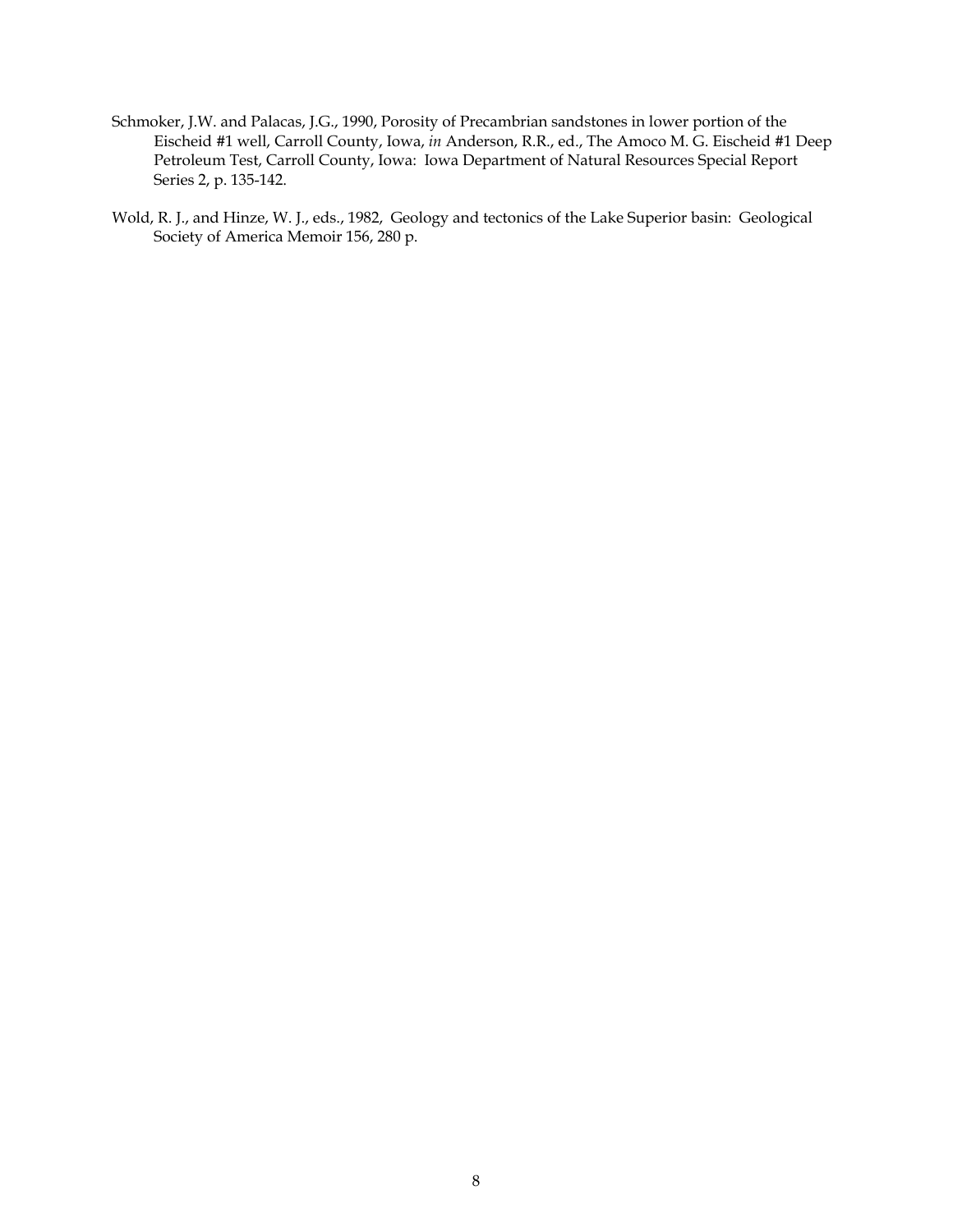- Schmoker, J.W. and Palacas, J.G., 1990, Porosity of Precambrian sandstones in lower portion of the Eischeid #1 well, Carroll County, Iowa, *in* Anderson, R.R., ed., The Amoco M. G. Eischeid #1 Deep Petroleum Test, Carroll County, Iowa: Iowa Department of Natural Resources Special Report Series 2, p. 135-142.
- Wold, R. J., and Hinze, W. J., eds., 1982, Geology and tectonics of the Lake Superior basin: Geological Society of America Memoir 156, 280 p.